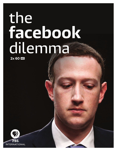# the<br>facebook dilemna

2x 60 HD